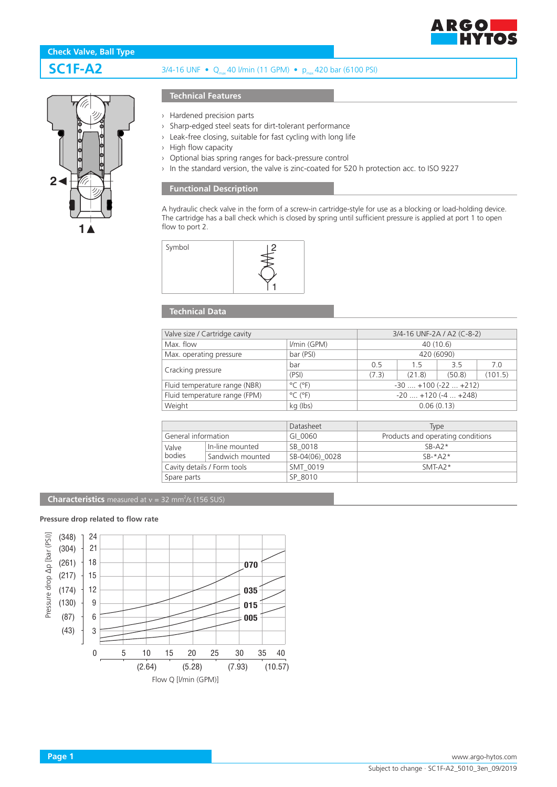

# **1 2**

# **SC1F-A2** 3/4-16 UNF • Q<sub>max</sub> 40 l/min (11 GPM) • p<sub>max</sub> 420 bar (6100 PSI)

## **Technical Features**

- › Hardened precision parts
- › Sharp-edged steel seats for dirt-tolerant performance
- › Leak-free closing, suitable for fast cycling with long life
- › High flow capacity
- › Optional bias spring ranges for back-pressure control
- › In the standard version, the valve is zinc-coated for 520 h protection acc. to ISO 9227

# **Functional Description**

A hydraulic check valve in the form of a screw-in cartridge-style for use as a blocking or load-holding device. The cartridge has a ball check which is closed by spring until sufficient pressure is applied at port 1 to open flow to port 2.



### **Technical Data**

| Valve size / Cartridge cavity | 3/4-16 UNF-2A / A2 (C-8-2)   |                               |        |        |         |
|-------------------------------|------------------------------|-------------------------------|--------|--------|---------|
| Max. flow                     | I/min (GPM)                  | 40 (10.6)                     |        |        |         |
| Max. operating pressure       | bar (PSI)                    | 420 (6090)                    |        |        |         |
| Cracking pressure             | bar                          | 0.5                           | 1.5    | 3.5    | 7.0     |
|                               | (PSI)                        | (7.3)                         | (21.8) | (50.8) | (101.5) |
| Fluid temperature range (NBR) | $^{\circ}$ C ( $^{\circ}$ F) | $-30$ $+100$ ( $-22$ $+212$ ) |        |        |         |
| Fluid temperature range (FPM) | $^{\circ}$ C ( $^{\circ}$ F) | $-20$ $+120$ ( $-4$ $+248$ )  |        |        |         |
| Weight                        | kg (lbs)                     | 0.06(0.13)                    |        |        |         |

|                     |                             | Datasheet      | <b>Type</b>                       |  |
|---------------------|-----------------------------|----------------|-----------------------------------|--|
| General information |                             | GI 0060        | Products and operating conditions |  |
| Valve<br>bodies     | In-line mounted             | SB 0018        | $SB- A2*$                         |  |
|                     | Sandwich mounted            | SB-04(06) 0028 | $SR-*A2*$                         |  |
|                     | Cavity details / Form tools | SMT 0019       | $SMT-A2*$                         |  |
| Spare parts         |                             | SP 8010        |                                   |  |

#### **Characteristics** measured at  $v = 32$  mm<sup>2</sup>/s (156 SUS)

### **Pressure drop related to flow rate**